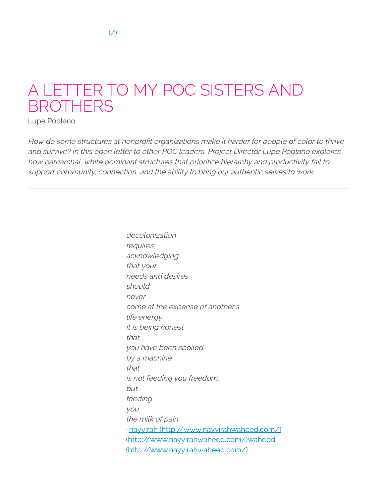# A LETTER TO MY POC SISTERS AND **BROTHERS**

Lupe Poblano

How do some structures at nonprofit organizations make it harder for people of color to thrive and survive? In this open letter to other POC leaders, Project Director Lupe Poblano explores how patriarchal, white dominant structures that prioritize hierarchy and productivity fail to support community, connection, and the ability to bring our authentic selves to work.

> decolonization requires acknowledging. that your needs and desires should never come at the expense of another's life energy. it is being honest that you have been spoiled by <sup>a</sup> machine that is not feeding you freedom, but feeding you the milk of pain. -nayyirah [\(http://www.nayyirahwaheed.com/\)](http://www.nayyirahwaheed.com/) [\(http://www.nayyirahwaheed.com/\)waheed](http://www.nayyirahwaheed.com/) (http://www.nayyirahwaheed.com/)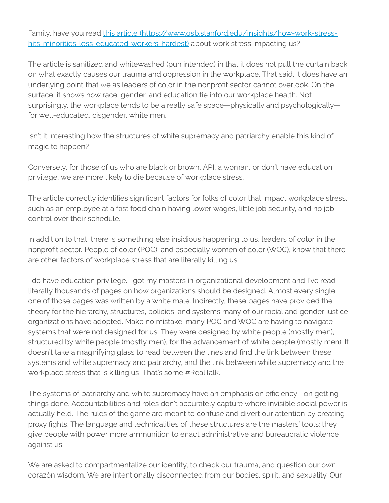Family, have you read this article [\(https://www.gsb.stanford.edu/insights/how-work-stress](https://www.gsb.stanford.edu/insights/how-work-stress-hits-minorities-less-educated-workers-hardest)hits-minorities-less-educated-workers-hardest) about work stress impacting us?

The article is sanitized and whitewashed (pun intended) in that it does not pull the curtain back on what exactly causes our trauma and oppression in the workplace. That said, it does have an underlying point that we as leaders of color in the nonprofit sector cannot overlook. On the surface, it shows how race, gender, and education tie into our workplace health. Not surprisingly, the workplace tends to be a really safe space—physically and psychologically for well-educated, cisgender, white men.

Isn't it interesting how the structures of white supremacy and patriarchy enable this kind of magic to happen?

Conversely, for those of us who are black or brown, API, a woman, or don't have education privilege, we are more likely to die because of workplace stress.

The article correctly identifies significant factors for folks of color that impact workplace stress, such as an employee at a fast food chain having lower wages, little job security, and no job control over their schedule.

In addition to that, there is something else insidious happening to us, leaders of color in the nonprofit sector. People of color (POC), and especially women of color (WOC), know that there are other factors of workplace stress that are literally killing us.

I do have education privilege. I got my masters in organizational development and I've read literally thousands of pages on how organizations should be designed. Almost every single one of those pages was written by a white male. Indirectly, these pages have provided the theory for the hierarchy, structures, policies, and systems many of our racial and gender justice organizations have adopted. Make no mistake: many POC and WOC are having to navigate systems that were not designed for us. They were designed by white people (mostly men), structured by white people (mostly men), for the advancement of white people (mostly men). It doesn't take a magnifying glass to read between the lines and find the link between these systems and white supremacy and patriarchy, and the link between white supremacy and the workplace stress that is killing us. That's some #RealTalk.

The systems of patriarchy and white supremacy have an emphasis on efficiency—on getting things done. Accountabilities and roles don't accurately capture where invisible social power is actually held. The rules of the game are meant to confuse and divert our attention by creating proxy fights. The language and technicalities of these structures are the masters' tools: they give people with power more ammunition to enact administrative and bureaucratic violence against us.

We are asked to compartmentalize our identity, to check our trauma, and question our own corazón wisdom. We are intentionally disconnected from our bodies, spirit, and sexuality. Our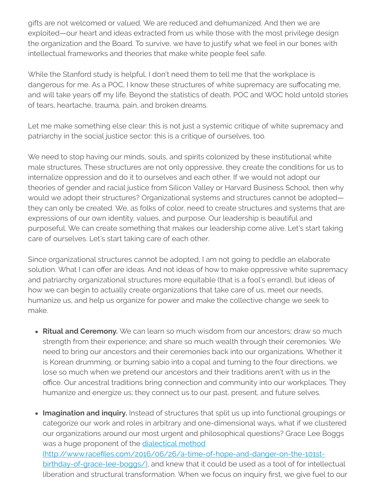gifts are not welcomed or valued. We are reduced and dehumanized. And then we are exploited—our heart and ideas extracted from us while those with the most privilege design the organization and the Board. To survive, we have to justify what we feel in our bones with intellectual frameworks and theories that make white people feel safe.

While the Stanford study is helpful, I don't need them to tell me that the workplace is dangerous for me. As a POC, I know these structures of white supremacy are suffocating me, and will take years off my life. Beyond the statistics of death, POC and WOC hold untold stories of tears, heartache, trauma, pain, and broken dreams.

Let me make something else clear: this is not just a systemic critique of white supremacy and patriarchy in the social justice sector: this is a critique of ourselves, too.

We need to stop having our minds, souls, and spirits colonized by these institutional white male structures. These structures are not only oppressive, they create the conditions for us to internalize oppression and do it to ourselves and each other. If we would not adopt our theories of gender and racial justice from Silicon Valley or Harvard Business School, then why would we adopt their structures? Organizational systems and structures cannot be adopted they can only be created. We, as folks of color, need to create structures and systems that are expressions of our own identity, values, and purpose. Our leadership is beautiful and purposeful. We can create something that makes our leadership come alive. Let's start taking care of ourselves. Let's start taking care of each other.

Since organizational structures cannot be adopted, I am not going to peddle an elaborate solution. What I can offer are ideas. And not ideas of how to make oppressive white supremacy and patriarchy organizational structures more equitable (that is a fool's errand), but ideas of how we can begin to actually create organizations that take care of us, meet our needs, humanize us, and help us organize for power and make the collective change we seek to make.

**Ritual and Ceremony.** We can learn so much wisdom from our ancestors; draw so much strength from their experience; and share so much wealth through their ceremonies. We need to bring our ancestors and their ceremonies back into our organizations. Whether it is Korean drumming, or burning sabio into a copal and turning to the four directions, we lose so much when we pretend our ancestors and their traditions aren't with us in the office. Our ancestral traditions bring connection and community into our workplaces. They humanize and energize us; they connect us to our past, present, and future selves.

**Imagination and inquiry.** Instead of structures that split us up into functional groupings or categorize our work and roles in arbitrary and one-dimensional ways, what if we clustered our organizations around our most urgent and philosophical questions? Grace Lee Boggs was a huge proponent of the dialectical method (http://www.racefiles.com/2016/06/26/a-time-of-hope-and-danger-on-the-101stbirthday-of-grace-lee-boggs/), and knew that it could be used as a tool of for intellectual liberation and structural transformation. When we focus on inquiry first, we give fuel to our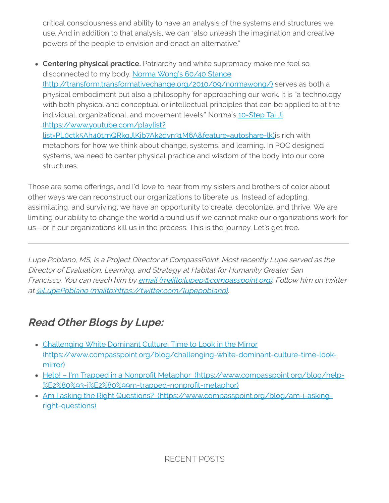critical consciousness and ability to have an analysis of the systems and structures we use. And in addition to that analysis, we can "also unleash the imagination and creative powers of the people to envision and enact an alternative."

**Centering physical practice.** Patriarchy and white supremacy make me feel so disconnected to my body. Norma Wong's 60/40 Stance [\(http://transform.transformativechange.org/2010/09/normawong/\)](http://transform.transformativechange.org/2010/09/normawong/) serves as both a physical embodiment but also a philosophy for approaching our work. It is "a technology with both physical and conceptual or intellectual principles that can be applied to at the individual, organizational, and movement levels." Norma's 10-Step Tai Ji (https://www.youtube.com/playlist? [list=PL0ctk5Ah401mQRkqJlKjb7Ak2dvn31M6A&feature=autoshare-lk\)is](https://www.youtube.com/playlist?list=PL0ctk5Ah401mQRkqJlKjb7Ak2dvn31M6A&feature=autoshare-lk) rich with metaphors for how we think about change, systems, and learning. In POC designed systems, we need to center physical practice and wisdom of the body into our core

Those are some offerings, and I'd love to hear from my sisters and brothers of color about other ways we can reconstruct our organizations to liberate us. Instead of adopting, assimilating, and surviving, we have an opportunity to create, decolonize, and thrive. We are limiting our ability to change the world around us if we cannot make our organizations work for us—or if our organizations kill us in the process. This is the journey. Let's get free.

Lupe Poblano, MS, is <sup>a</sup> Project Director at CompassPoint. Most recently Lupe served as the Director of Evaluation, Learning, and Strategy at Habitat for Humanity Greater San Francisco. You can reach him by email [\(mailto:lupep@compasspoint.org\)](mailto:lupep@compasspoint.org). Follow him on twitter at @LupePoblano (mailto:https:/ [twitter.com/lupepoblano\)](mailto:https://twitter.com/lupepoblano).

# **Read Other Blogs by Lupe:**

structures.

- Challenging White Dominant Culture: Time to Look in the Mirror [\(https://www.compasspoint.org/blog/challenging-white-dominant-culture-time-look](https://www.compasspoint.org/blog/challenging-white-dominant-culture-time-look-mirror)mirror)
- Help! I'm Trapped in a Nonprofit Metaphor (https://www.compasspoint.org/blog/help-%E2%80%93-i%E2%80%99m-trapped-nonprofit-metaphor)
- Am I asking the Right Questions? [\(https://www.compasspoint.org/blog/am-i-asking](https://www.compasspoint.org/blog/am-i-asking-right-questions)right-questions)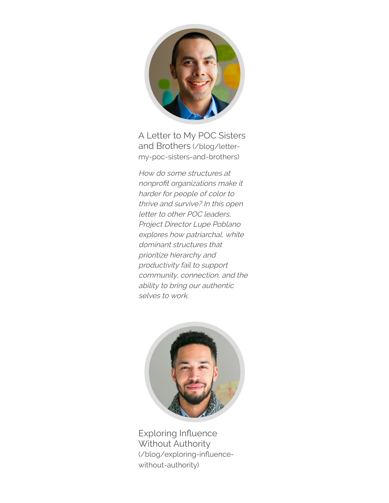

A Letter to My POC Sisters and Brothers (/blog/letter[my-poc-sisters-and-brothers\)](https://www.compasspoint.org/blog/letter-my-poc-sisters-and-brothers)

How do some structures at nonprofit organizations make it harder for people of color to thrive and survive? In this open letter to other POC leaders, Project Director Lupe Poblano explores how patriarchal, white dominant structures that prioritize hierarchy and productivity fail to support community, connection, and the ability to bring our authentic selves to work.



Exploring Influence Without Authority (/blog/exploring-influencewithout-authority)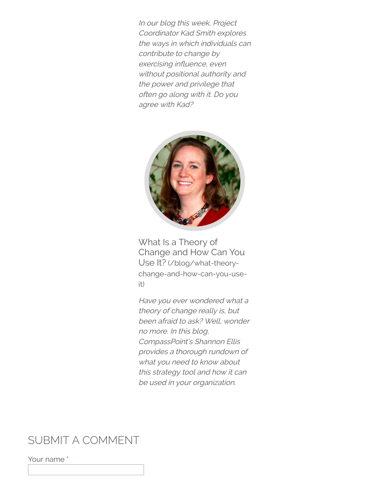In our blog this week, Project Coordinator Kad Smith explores the ways in which individuals can contribute to change by exercising influence, even without positional authority and the power and privilege that often go along with it. Do you agree with Kad?



What Is a Theory of Change and How Can You Use It? (/blog/what-theory[change-and-how-can-you-use](https://www.compasspoint.org/blog/what-theory-change-and-how-can-you-use-it)it)

Have you ever wondered what <sup>a</sup> theory of change really is, but been afraid to ask? Well, wonder no more. In this blog, CompassPoint's Shannon Ellis provides <sup>a</sup> thorough rundown of what you need to know about this strategy tool and how it can be used in your organization.

### SUBMIT A COMMENT

Your name \*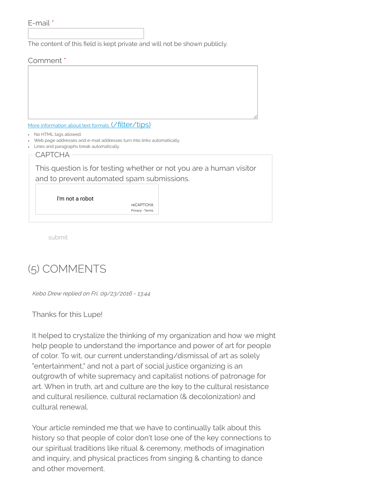```
E-mail *
```
The content of this field is kept private and will not be shown publicly.

#### Comment \*

More information about text formats (/filter/tips)

- No HTML tags allowed.
- Web page addresses and e-mail addresses turn into links automatically.
- Lines and paragraphs break automatically.

CAPTCHA

This question is for testing whether or not you are a human visitor and to prevent automated spam submissions.

I'm not a robot

reCAPTCHA [Privacy](https://www.google.com/intl/en/policies/privacy/) - [Terms](https://www.google.com/intl/en/policies/terms/)

submit

## (5) COMMENTS

Kebo Drew replied on Fri, 09/23/2016 - 13:44

Thanks for this Lupe!

It helped to crystalize the thinking of my organization and how we might help people to understand the importance and power of art for people of color. To wit, our current understanding/dismissal of art as solely "entertainment," and not a part of social justice organizing is an outgrowth of white supremacy and capitalist notions of patronage for art. When in truth, art and culture are the key to the cultural resistance and cultural resilience, cultural reclamation (& decolonization) and cultural renewal.

Your article reminded me that we have to continually talk about this history so that people of color don't lose one of the key connections to our spiritual traditions like ritual & ceremony, methods of imagination and inquiry, and physical practices from singing & chanting to dance and other movement.